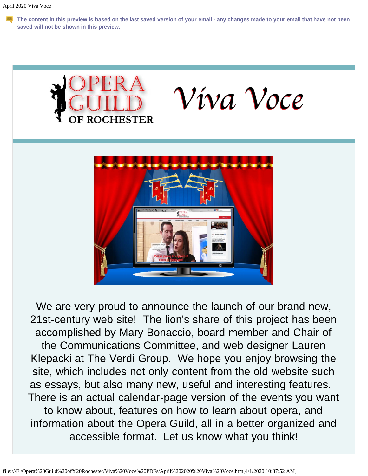**The content in this preview is based on the last saved version of your email - any changes made to your email that have not been saved will not be shown in this preview.**





We are very proud to announce the launch of our brand new, 21st-century web site! The lion's share of this project has been accomplished by Mary Bonaccio, board member and Chair of the Communications Committee, and web designer Lauren Klepacki at The Verdi Group. We hope you enjoy browsing the site, which includes not only content from the old website such as essays, but also many new, useful and interesting features. There is an actual calendar-page version of the events you want to know about, features on how to learn about opera, and information about the Opera Guild, all in a better organized and accessible format. Let us know what you think!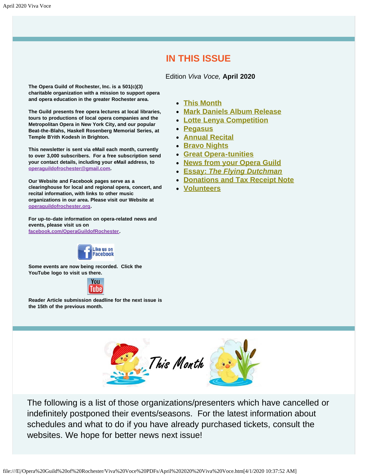### **IN THIS ISSUE**

Edition *Viva Voce,* **April 2020**

<span id="page-1-1"></span>**The Opera Guild of Rochester, Inc. is a 501(c)(3) charitable organization with a mission to support opera and opera education in the greater Rochester area.**

**The Guild presents free opera lectures at local libraries, tours to productions of local opera companies and the Metropolitan Opera in New York City, and our popular Beat-the-Blahs, Haskell Rosenberg Memorial Series, at Temple B'rith Kodesh in Brighton.**

**This newsletter is sent via eMail each month, currently to over 3,000 subscribers. For a free subscription send your contact details, including your eMail address, to [operaguildofrochester@gmail.com](mailto:operaguildofrochester@gmail.com).**

**Our Website and Facebook pages serve as a clearinghouse for local and regional opera, concert, and recital information, with links to other music organizations in our area. Please visit our Website at [operaguildofrochester.org](http://operaguildofrochester.org/).**

**For up-to-date information on opera-related news and events, please visit us on [facebook.com/OperaGuildofRochester](http://facebook.com/OperaGuildofRochester).**



**Some events are now being recorded. Click the YouTube logo to visit us there.**



<span id="page-1-0"></span>**Reader Article submission deadline for the next issue is the 15th of the previous month.**

- **[This Month](#page-1-0)**
- **[Mark Daniels Album Release](#page-2-0)**
- **[Lotte Lenya Competition](#page-3-0)**
- **[Pegasus](#page-3-1)**
- **[Annual Recital](#page-4-0)**
- **[Bravo Nights](#page-5-0)**
- **[Great Opera-tunities](#page-5-1)**
- **[News from your Opera Guild](#page-6-0)**
- **[Essay:](#page-6-1)** *[The Flying Dutchman](#page-6-1)*
- **[Donations and Tax Receipt Note](#page-7-0)**
- **[Volunteers](#page-8-0)**



The following is a list of those organizations/presenters which have cancelled or indefinitely postponed their events/seasons. For the latest information about schedules and what to do if you have already purchased tickets, consult the websites. We hope for better news next issue!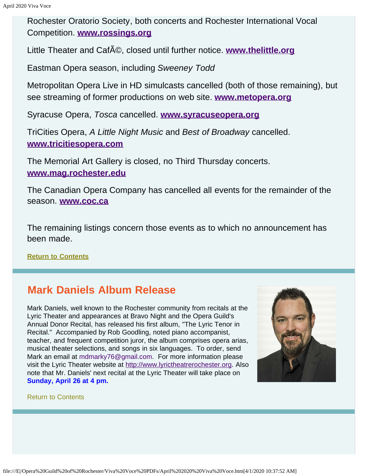Rochester Oratorio Society, both concerts and Rochester International Vocal Competition. **[www.rossings.org](http://www.rossings.org/)**

Little Theater and Caf<sub>A</sub><sup>©</sup>, closed until further notice. **[www.thelittle.org](http://www.thelittle.org/)** 

Eastman Opera season, including *Sweeney Todd*

Metropolitan Opera Live in HD simulcasts cancelled (both of those remaining), but see streaming of former productions on web site. **[www.metopera.org](http://www.metopera.org/)**

Syracuse Opera, *Tosca* cancelled. **[www.syracuseopera.org](http://www.syracuseopera.org/)**

TriCities Opera, *A Little Night Music* and *Best of Broadway* cancelled. **[www.tricitiesopera.com](http://www.tricitiesopera.com/)**

The Memorial Art Gallery is closed, no Third Thursday concerts. **[www.mag.rochester.edu](http://www.mag.rochester.edu/)**

The Canadian Opera Company has cancelled all events for the remainder of the season. **[www.coc.ca](http://www.coc.ca/)**

The remaining listings concern those events as to which no announcement has been made.

**[Return to Contents](#page-1-1)**

# <span id="page-2-0"></span>**Mark Daniels Album Release**

Mark Daniels, well known to the Rochester community from recitals at the Lyric Theater and appearances at Bravo Night and the Opera Guild's Annual Donor Recital, has released his first album, "The Lyric Tenor in Recital." Accompanied by Rob Goodling, noted piano accompanist, teacher, and frequent competition juror, the album comprises opera arias, musical theater selections, and songs in six languages. To order, send Mark an email at [mdmarky76@gmail.com](mailto:mdmarky76@gmail.com). For more information please visit the Lyric Theater website at [http://www.lyrictheatrerochester.org.](http://www.lyrictheatrerochester.org/) Also note that Mr. Daniels' next recital at the Lyric Theater will take place on **Sunday, April 26 at 4 pm.** 



#### [Return to Contents](#page-1-1)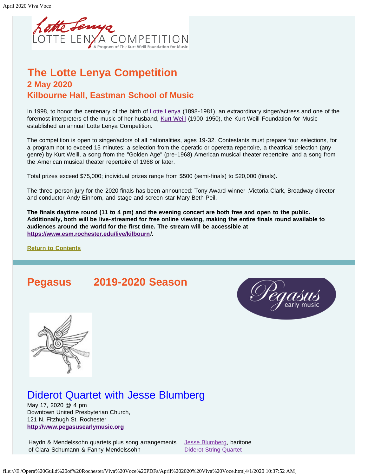

## <span id="page-3-0"></span>**The Lotte Lenya Competition 2 May 2020 Kilbourne Hall, Eastman School of Music**

In 1998, to honor the centenary of the birth of [Lotte Lenya](https://www.kwf.org/pages/lotte-lenya.html) (1898-1981), an extraordinary singer/actress and one of the foremost interpreters of the music of her husband, [Kurt Weill](https://www.kwf.org/pages/kw-biography.html) (1900-1950), the Kurt Weill Foundation for Music established an annual Lotte Lenya Competition.

The competition is open to singer/actors of all nationalities, ages 19-32. Contestants must prepare four selections, for a program not to exceed 15 minutes: a selection from the operatic or operetta repertoire, a theatrical selection (any genre) by Kurt Weill, a song from the "Golden Age" (pre-1968) American musical theater repertoire; and a song from the American musical theater repertoire of 1968 or later.

Total prizes exceed \$75,000; individual prizes range from \$500 (semi-finals) to \$20,000 (finals).

The three-person jury for the 2020 finals has been announced: Tony Award-winner .Victoria Clark, Broadway director and conductor Andy Einhorn, and stage and screen star Mary Beth Peil.

**The finals daytime round (11 to 4 pm) and the evening concert are both free and open to the public. Additionally, both will be live-streamed for free online viewing, making the entire finals round available to audiences around the world for the first time. The stream will be accessible at [https://www.esm.rochester.edu/live/kilbourn](https://www.esm.rochester.edu/live/kilbourn/)/.**

**[Return to Contents](#page-1-1)**

## <span id="page-3-1"></span>**Pegasus 2019-2020 Season**





# Diderot Quartet with Jesse Blumberg

May 17, 2020 @ 4 pm Downtown United Presbyterian Church, 121 N. Fitzhugh St. Rochester **[http://www.pegasusearlymusic.org](http://www.pegasusearlymusic.org/)**

Haydn & Mendelssohn quartets plus song arrangements of Clara Schumann & Fanny Mendelssohn

[Jesse Blumberg](https://www.pegasusearlymusic.org/artist/jesse-blumberg/), baritone [Diderot String Quartet](https://www.pegasusearlymusic.org/artist/diderot-string-quartet/)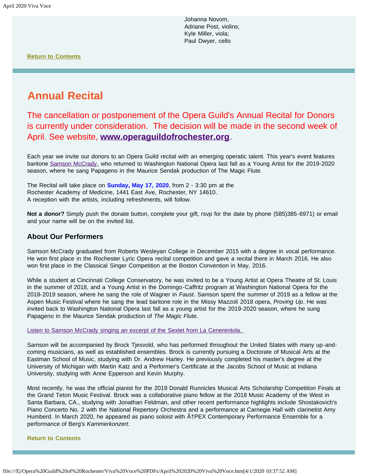Johanna Novom, Adriane Post, violins; Kyle Miller, viola; Paul Dwyer, cello

**[Return to Contents](#page-1-1)**

# <span id="page-4-0"></span>**Annual Recital**

The cancellation or postponement of the Opera Guild's Annual Recital for Donors is currently under consideration. The decision will be made in the second week of April. See website, **[www.operaguildofrochester.org](http://www.operaguildofrochester.org/)**.

Each year we invite our donors to an Opera Guild recital with an emerging operatic talent. This year's event features baritone [Samson McCrady,](https://www.samsonmccrady.com/) who returned to Washington National Opera last fall as a Young Artist for the 2019-2020 season, where he sang Papageno in the Maurice Sendak production of The Magic Flute.

The Recital will take place on **Sunday, May 17, 2020**, from 2 - 3:30 pm at the Rochester Academy of Medicine, 1441 East Ave, Rochester, NY 14610. A reception with the artists, including refreshments, will follow.

**Not a donor?** Simply push the donate button, complete your gift, rsvp for the date by phone (585)385-6971) or email and your name will be on the invited list.

#### **About Our Performers**

Samson McCrady graduated from Roberts Wesleyan College in December 2015 with a degree in vocal performance. He won first place in the Rochester Lyric Opera recital competition and gave a recital there in March 2016. He also won first place in the Classical Singer Competition at the Boston Convention in May, 2016.

While a student at Cincinnati College Conservatory, he was invited to be a Young Artist at Opera Theatre of St. Louis in the summer of 2018, and a Young Artist in the Domingo-Caffritz program at Washington National Opera for the 2018-2019 season, where he sang the role of Wagner in *Faust*. Samson spent the summer of 2019 as a fellow at the Aspen Music Festival where he sang the lead baritone role in the Missy Mazzoli 2018 opera, *Proving Up*. He was invited back to Washington National Opera last fall as a young artist for the 2019-2020 season, where he sung Papageno in the Maurice Sendak production of *The Magic Flute*.

[Listen to Samson McCrady singing an excerpt of the Sextet from La Cenerentola.](https://www.youtube.com/watch?v=W-VcuZMaqtk) 

Samson will be accompanied by Brock Tjesvold, who has performed throughout the United States with many up-andcoming musicians, as well as established ensembles. Brock is currently pursuing a Doctorate of Musical Arts at the Eastman School of Music, studying with Dr. Andrew Harley. He previously completed his master's degree at the University of Michigan with Martin Katz and a Performer's Certificate at the Jacobs School of Music at Indiana University, studying with Anne Epperson and Kevin Murphy.

Most recently, he was the official pianist for the 2019 Donald Runnicles Musical Arts Scholarship Competition Finals at the Grand Teton Music Festival. Brock was a collaborative piano fellow at the 2018 Music Academy of the West in Santa Barbara, CA., studying with Jonathan Feldman, and other recent performance highlights include Shostakovich's Piano Concerto No. 2 with the National Repertory Orchestra and a performance at Carnegie Hall with clarinetist Amy Humberd. In March 2020, he appeared as piano soloist with  $\tilde{A}$ †PEX Contemporary Performance Ensemble for a performance of Berg's *Kammerkonzert.*

#### **[Return to Contents](#page-1-1)**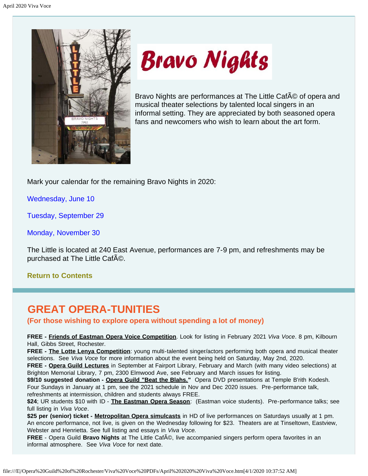<span id="page-5-0"></span>



Bravo Nights are performances at The Little CafA © of opera and musical theater selections by talented local singers in an informal setting. They are appreciated by both seasoned opera fans and newcomers who wish to learn about the art form.

Mark your calendar for the remaining Bravo Nights in 2020:

Wednesday, June 10

Tuesday, September 29

Monday, November 30

The Little is located at 240 East Avenue, performances are 7-9 pm, and refreshments may be purchased at The Little CafAO.

**[Return to Contents](#page-1-1)**

# <span id="page-5-1"></span>**GREAT OPERA-TUNITIES**

**(For those wishing to explore opera without spending a lot of money)**

**FREE - Friends of Eastman Opera Voice Competition**. Look for listing in February 2021 *Viva Voce*. 8 pm, Kilbourn Hall, Gibbs Street, Rochester.

**FREE - The Lotte Lenya Competition**: young multi-talented singer/actors performing both opera and musical theater selections. See *Viva Voce* for more information about the event being held on Saturday, May 2nd, 2020.

**FREE - Opera Guild Lectures** in September at Fairport Library, February and March (with many video selections) at Brighton Memorial Library, 7 pm, 2300 Elmwood Ave, see February and March issues for listing.

\$9/10 suggested donation - Opera Guild "Beat the Blahs." Opera DVD presentations at Temple B'rith Kodesh. Four Sundays in January at 1 pm, see the 2021 schedule in Nov and Dec 2020 issues. Pre-performance talk, refreshments at intermission, children and students always FREE.

**\$24**; UR students \$10 with ID - **The Eastman Opera Season**: (Eastman voice students). Pre-performance talks; see full listing in *Viva Voce*.

**\$25 per (senior) ticket - Metropolitan Opera simulcasts** in HD of live performances on Saturdays usually at 1 pm. An encore performance, not live, is given on the Wednesday following for \$23. Theaters are at Tinseltown, Eastview, Webster and Henrietta. See full listing and essays in *Viva Voce.*

**FREE** - Opera Guild **Bravo Nights** at The Little Caf©, live accompanied singers perform opera favorites in an informal atmosphere. See *Viva Voce* for next date.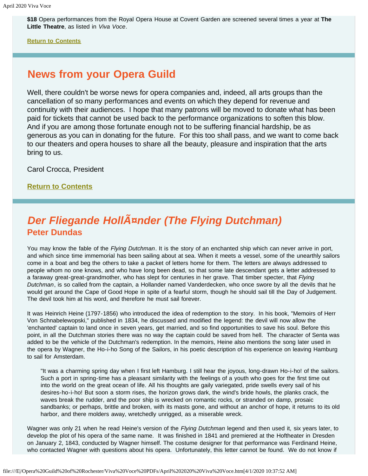**\$18** Opera performances from the Royal Opera House at Covent Garden are screened several times a year at **The Little Theatre**, as listed in *Viva Voce*.

**[Return to Contents](#page-1-1)**

## <span id="page-6-0"></span>**News from your Opera Guild**

Well, there couldn't be worse news for opera companies and, indeed, all arts groups than the cancellation of so many performances and events on which they depend for revenue and continuity with their audiences. I hope that many patrons will be moved to donate what has been paid for tickets that cannot be used back to the performance organizations to soften this blow. And if you are among those fortunate enough not to be suffering financial hardship, be as generous as you can in donating for the future. For this too shall pass, and we want to come back to our theaters and opera houses to share all the beauty, pleasure and inspiration that the arts bring to us.

Carol Crocca, President

**[Return to Contents](#page-1-1)**

# <span id="page-6-1"></span>**Der Fliegande HollAznder (The Flying Dutchman) Peter Dundas**

You may know the fable of the *Flying Dutchman*. It is the story of an enchanted ship which can never arrive in port, and which since time immemorial has been sailing about at sea. When it meets a vessel, some of the unearthly sailors come in a boat and beg the others to take a packet of letters home for them. The letters are always addressed to people whom no one knows, and who have long been dead, so that some late descendant gets a letter addressed to a faraway great-great-grandmother, who has slept for centuries in her grave. That timber specter, that *Flying Dutchman*, is so called from the captain, a Hollander named Vanderdecken, who once swore by all the devils that he would get around the Cape of Good Hope in spite of a fearful storm, though he should sail till the Day of Judgement. The devil took him at his word, and therefore he must sail forever.

It was Heinrich Heine (1797-1856) who introduced the idea of redemption to the story. In his book, "Memoirs of Herr Von Schnabelewopski," published in 1834, he discussed and modified the legend: the devil will now allow the 'enchanted' captain to land once in seven years, get married, and so find opportunities to save his soul. Before this point, in all the Dutchman stories there was no way the captain could be saved from hell. The character of Senta was added to be the vehicle of the Dutchman's redemption. In the memoirs, Heine also mentions the song later used in the opera by Wagner, the Ho-i-ho Song of the Sailors, in his poetic description of his experience on leaving Hamburg to sail for Amsterdam.

"It was a charming spring day when I first left Hamburg. I still hear the joyous, long-drawn Ho-i-ho! of the sailors. Such a port in spring-time has a pleasant similarity with the feelings of a youth who goes for the first time out into the world on the great ocean of life. All his thoughts are gaily variegated, pride swells every sail of his desires-ho-i-ho! But soon a storm rises, the horizon grows dark, the wind's bride howls, the planks crack, the waves break the rudder, and the poor ship is wrecked on romantic rocks, or stranded on damp, prosaic sandbanks; or perhaps, brittle and broken, with its masts gone, and without an anchor of hope, it returns to its old harbor, and there molders away, wretchedly unrigged, as a miserable wreck.

Wagner was only 21 when he read Heine's version of the *Flying Dutchman* legend and then used it, six years later, to develop the plot of his opera of the same name. It was finished in 1841 and premiered at the Hoftheater in Dresden on January 2, 1843, conducted by Wagner himself. The costume designer for that performance was Ferdinand Heine, who contacted Wagner with questions about his opera. Unfortunately, this letter cannot be found. We do not know if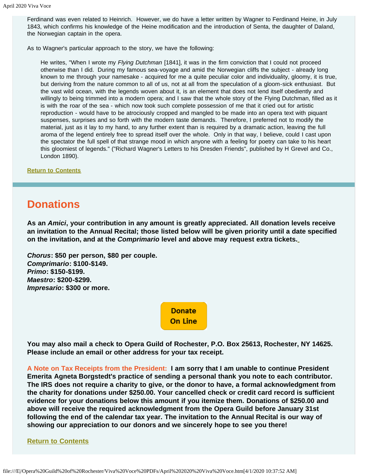Ferdinand was even related to Heinrich. However, we do have a letter written by Wagner to Ferdinand Heine, in July 1843, which confirms his knowledge of the Heine modification and the introduction of Senta, the daughter of Daland, the Norwegian captain in the opera.

As to Wagner's particular approach to the story, we have the following:

He writes, "When I wrote my *Flying Dutchman* [1841], it was in the firm conviction that I could not proceed otherwise than I did. During my famous sea-voyage and amid the Norwegian cliffs the subject - already long known to me through your namesake - acquired for me a quite peculiar color and individuality, gloomy, it is true, but deriving from the nature common to all of us, not at all from the speculation of a gloom-sick enthusiast. But the vast wild ocean, with the legends woven about it, is an element that does not lend itself obediently and willingly to being trimmed into a modern opera; and I saw that the whole story of the Flying Dutchman, filled as it is with the roar of the sea - which now took such complete possession of me that it cried out for artistic reproduction - would have to be atrociously cropped and mangled to be made into an opera text with piquant suspenses, surprises and so forth with the modern taste demands. Therefore, I preferred not to modify the material, just as it lay to my hand, to any further extent than is required by a dramatic action, leaving the full aroma of the legend entirely free to spread itself over the whole. Only in that way, I believe, could I cast upon the spectator the full spell of that strange mood in which anyone with a feeling for poetry can take to his heart this gloomiest of legends." ("Richard Wagner's Letters to his Dresden Friends", published by H Grevel and Co., London 1890).

**[Return to Contents](#page-1-1)**

## <span id="page-7-0"></span>**Donations**

**As an** *Amici***, your contribution in any amount is greatly appreciated. All donation levels receive an invitation to the Annual Recital; those listed below will be given priority until a date specified on the invitation, and at the** *Comprimario* **level and above may request extra tickets.**

*Chorus***: \$50 per person, \$80 per couple.** *Comprimario***: \$100-\$149.** *Primo***: \$150-\$199.** *Maestro***: \$200-\$299.** *Impresario***: \$300 or more.**

> **Donate On Line**

**You may also mail a check to Opera Guild of Rochester, P.O. Box 25613, Rochester, NY 14625. Please include an email or other address for your tax receipt.**

**A Note on Tax Receipts from the President: I am sorry that I am unable to continue President Emerita Agneta Borgstedt's practice of sending a personal thank you note to each contributor. The IRS does not require a charity to give, or the donor to have, a formal acknowledgment from the charity for donations under \$250.00. Your cancelled check or credit card record is sufficient evidence for your donations below this amount if you itemize them. Donations of \$250.00 and above will receive the required acknowledgment from the Opera Guild before January 31st following the end of the calendar tax year. The invitation to the Annual Recital is our way of showing our appreciation to our donors and we sincerely hope to see you there!**

#### **[Return to Contents](#page-1-1)**